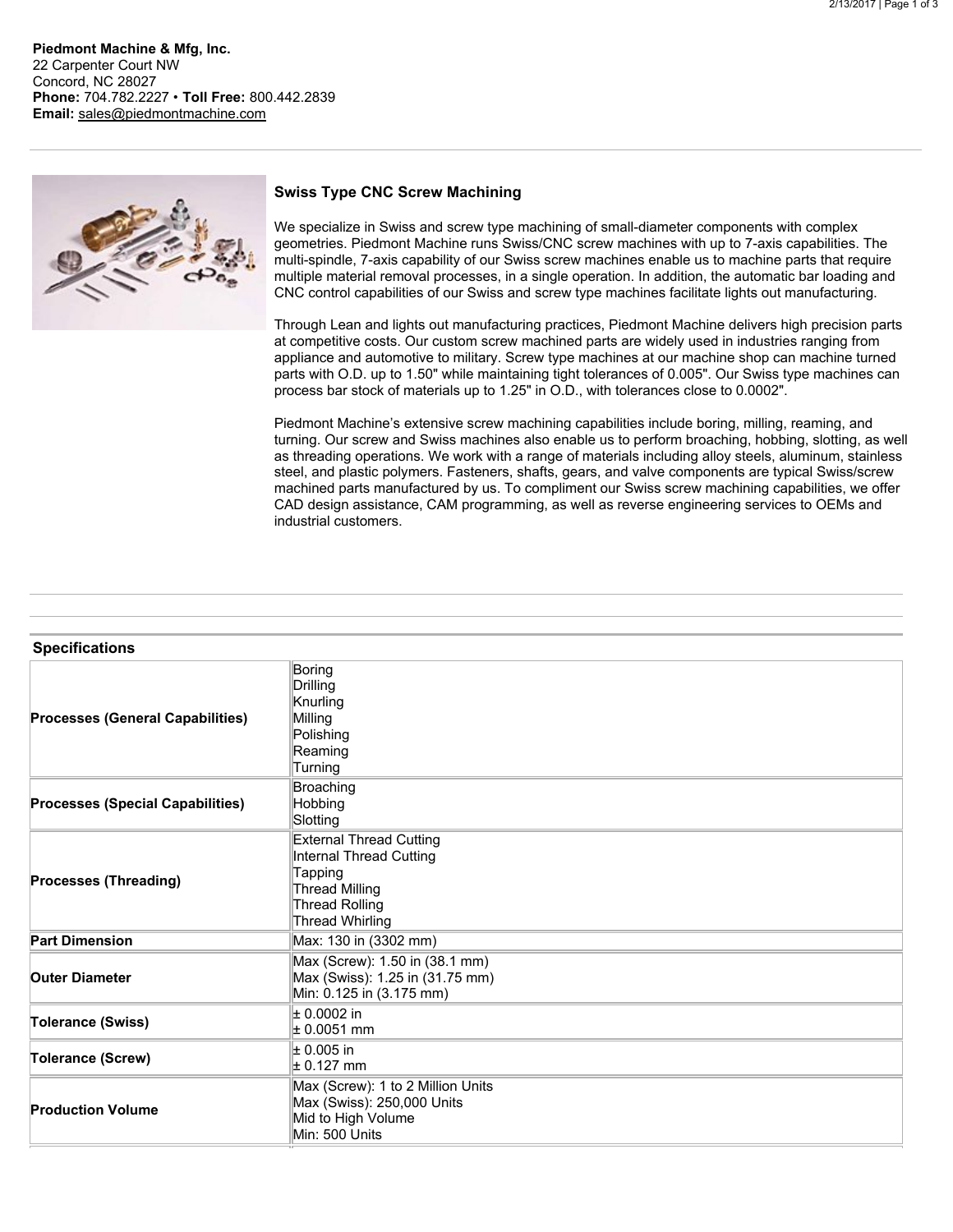**Piedmont Machine & Mfg, Inc.** 22 Carpenter Court NW Concord, NC 28027 **Phone:** 704.782.2227 • **Toll Free:** 800.442.2839 **Email:** [sales@piedmontmachine.com](mailto:sales@piedmontmachine.com)



## **Swiss Type CNC Screw Machining**

We specialize in Swiss and screw type machining of small-diameter components with complex geometries. Piedmont Machine runs Swiss/CNC screw machines with up to 7-axis capabilities. The multi-spindle, 7-axis capability of our Swiss screw machines enable us to machine parts that require multiple material removal processes, in a single operation. In addition, the automatic bar loading and CNC control capabilities of our Swiss and screw type machines facilitate lights out manufacturing.

Through Lean and lights out manufacturing practices, Piedmont Machine delivers high precision parts at competitive costs. Our custom screw machined parts are widely used in industries ranging from appliance and automotive to military. Screw type machines at our machine shop can machine turned parts with O.D. up to 1.50" while maintaining tight tolerances of 0.005". Our Swiss type machines can process bar stock of materials up to 1.25" in O.D., with tolerances close to 0.0002".

Piedmont Machine's extensive screw machining capabilities include boring, milling, reaming, and turning. Our screw and Swiss machines also enable us to perform broaching, hobbing, slotting, as well as threading operations. We work with a range of materials including alloy steels, aluminum, stainless steel, and plastic polymers. Fasteners, shafts, gears, and valve components are typical Swiss/screw machined parts manufactured by us. To compliment our Swiss screw machining capabilities, we offer CAD design assistance, CAM programming, as well as reverse engineering services to OEMs and industrial customers.

| <b>Specifications</b>                   |                                                                                                                                           |
|-----------------------------------------|-------------------------------------------------------------------------------------------------------------------------------------------|
| <b>Processes (General Capabilities)</b> | Boring<br>Drilling<br>Knurling<br>Milling<br>Polishing<br>Reaming<br>Turning                                                              |
| <b>Processes (Special Capabilities)</b> | Broaching<br>Hobbing<br>Slotting                                                                                                          |
| <b>Processes (Threading)</b>            | <b>External Thread Cutting</b><br>Internal Thread Cutting<br>Tapping<br><b>Thread Milling</b><br><b>Thread Rolling</b><br>Thread Whirling |
| <b>Part Dimension</b>                   | Max: 130 in (3302 mm)                                                                                                                     |
| <b>Outer Diameter</b>                   | Max (Screw): 1.50 in (38.1 mm)<br>Max (Swiss): 1.25 in (31.75 mm)<br>Min: 0.125 in (3.175 mm)                                             |
| <b>Tolerance (Swiss)</b>                | $± 0.0002$ in<br>$\pm 0.0051$ mm                                                                                                          |
| <b>Tolerance (Screw)</b>                | $\pm$ 0.005 in<br>$\pm$ 0.127 mm                                                                                                          |
| <b>Production Volume</b>                | Max (Screw): 1 to 2 Million Units<br>Max (Swiss): 250,000 Units<br>Mid to High Volume<br>Min: 500 Units                                   |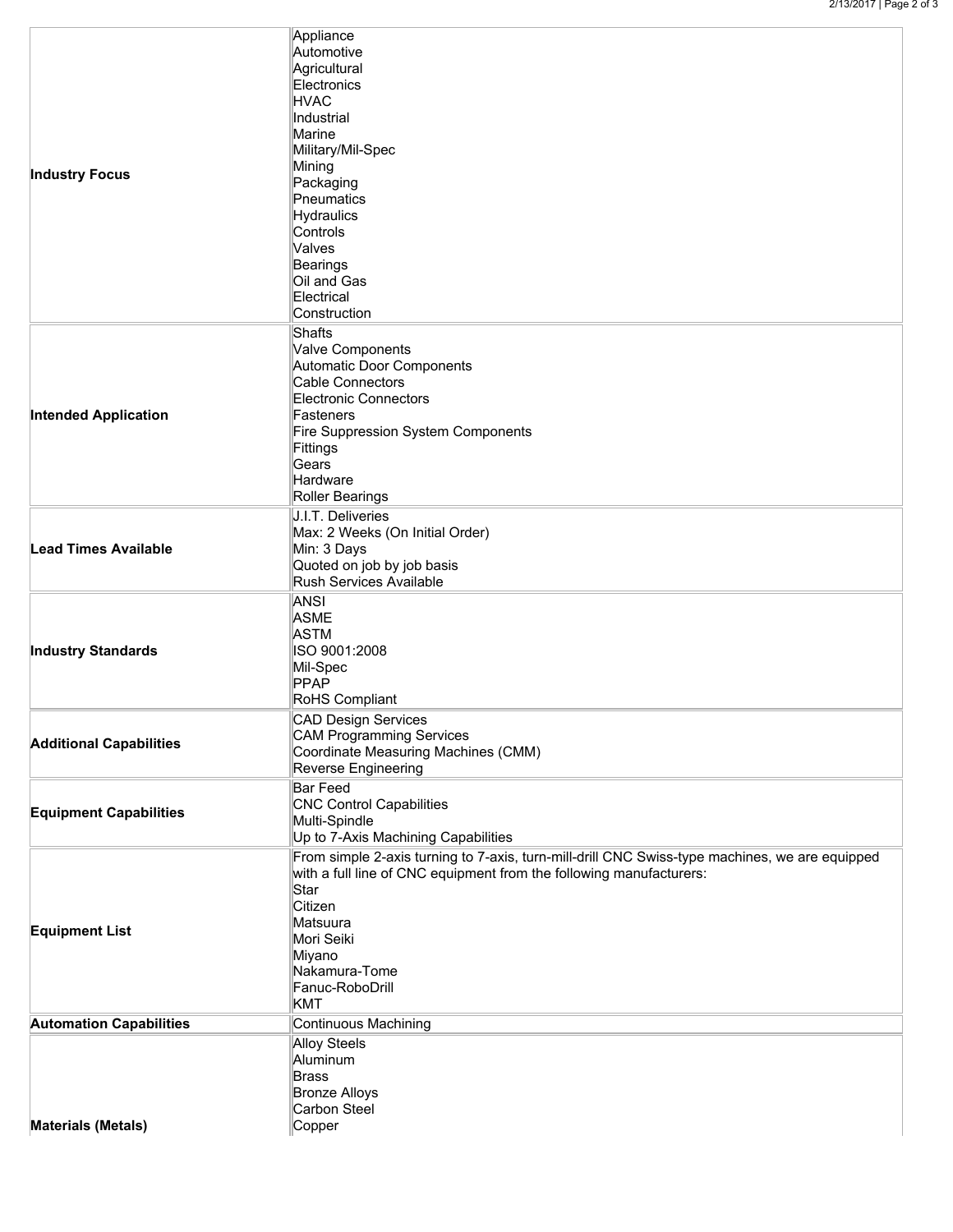|  |                                | Appliance<br>Automotive                                                                        |  |
|--|--------------------------------|------------------------------------------------------------------------------------------------|--|
|  |                                | Agricultural                                                                                   |  |
|  |                                | Electronics                                                                                    |  |
|  |                                | HVAC                                                                                           |  |
|  |                                | Industrial                                                                                     |  |
|  |                                | Marine                                                                                         |  |
|  |                                | Military/Mil-Spec                                                                              |  |
|  | <b>Industry Focus</b>          | Mining                                                                                         |  |
|  |                                | Packaging                                                                                      |  |
|  |                                | Pneumatics                                                                                     |  |
|  |                                | Hydraulics                                                                                     |  |
|  |                                | Controls<br>Valves                                                                             |  |
|  |                                | Bearings                                                                                       |  |
|  |                                | Oil and Gas                                                                                    |  |
|  |                                | Electrical                                                                                     |  |
|  |                                | Construction                                                                                   |  |
|  |                                | Shafts                                                                                         |  |
|  |                                | Valve Components                                                                               |  |
|  |                                | Automatic Door Components                                                                      |  |
|  |                                | Cable Connectors                                                                               |  |
|  |                                | Electronic Connectors                                                                          |  |
|  | <b>Intended Application</b>    | Fasteners                                                                                      |  |
|  |                                | Fire Suppression System Components                                                             |  |
|  |                                | Fittings                                                                                       |  |
|  |                                | Gears                                                                                          |  |
|  |                                | Hardware                                                                                       |  |
|  |                                | Roller Bearings                                                                                |  |
|  |                                | J.I.T. Deliveries                                                                              |  |
|  |                                | Max: 2 Weeks (On Initial Order)                                                                |  |
|  | <b>Lead Times Available</b>    | Min: 3 Days                                                                                    |  |
|  |                                | Quoted on job by job basis<br>Rush Services Available                                          |  |
|  |                                |                                                                                                |  |
|  |                                | <b>ANSI</b>                                                                                    |  |
|  |                                | <b>ASME</b>                                                                                    |  |
|  |                                | <b>ASTM</b><br>ISO 9001:2008                                                                   |  |
|  | <b>Industry Standards</b>      | Mil-Spec                                                                                       |  |
|  |                                | PPAP                                                                                           |  |
|  |                                | RoHS Compliant                                                                                 |  |
|  |                                | CAD Design Services                                                                            |  |
|  |                                | CAM Programming Services                                                                       |  |
|  | <b>Additional Capabilities</b> | Coordinate Measuring Machines (CMM)                                                            |  |
|  |                                | Reverse Engineering                                                                            |  |
|  |                                | <b>Bar Feed</b>                                                                                |  |
|  |                                | CNC Control Capabilities                                                                       |  |
|  | <b>Equipment Capabilities</b>  | Multi-Spindle                                                                                  |  |
|  |                                | Up to 7-Axis Machining Capabilities                                                            |  |
|  |                                | From simple 2-axis turning to 7-axis, turn-mill-drill CNC Swiss-type machines, we are equipped |  |
|  |                                | with a full line of CNC equipment from the following manufacturers:                            |  |
|  |                                | Star                                                                                           |  |
|  |                                | Citizen                                                                                        |  |
|  |                                | Matsuura                                                                                       |  |
|  | <b>Equipment List</b>          | Mori Seiki                                                                                     |  |
|  |                                | Miyano                                                                                         |  |
|  |                                | Nakamura-Tome                                                                                  |  |
|  |                                | Fanuc-RoboDrill                                                                                |  |
|  |                                | <b>KMT</b>                                                                                     |  |
|  | <b>Automation Capabilities</b> | Continuous Machining                                                                           |  |
|  |                                | Alloy Steels                                                                                   |  |
|  |                                | Aluminum                                                                                       |  |
|  |                                | <b>Brass</b>                                                                                   |  |
|  |                                | <b>Bronze Alloys</b>                                                                           |  |
|  |                                | Carbon Steel                                                                                   |  |
|  | <b>Materials (Metals)</b>      | Copper                                                                                         |  |
|  |                                |                                                                                                |  |